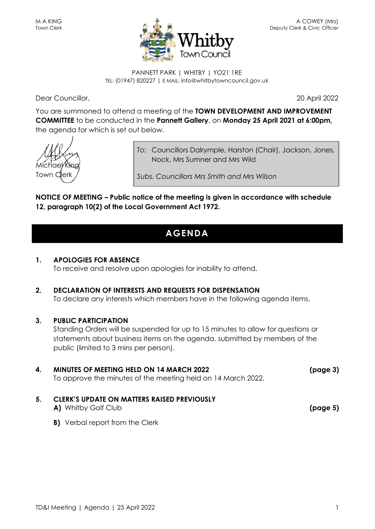

PANNETT PARK | WHITBY | YO21 1RE TEL: (01947) 820227 | E MAIL: info@whitbytowncouncil.gov.uk

Dear Councillor, 20 April 2022

You are summoned to attend a meeting of the **TOWN DEVELOPMENT AND IMPROVEMENT COMMITTEE** to be conducted in the **Pannett Gallery**, on **Monday 25 April 2021 at 6:00pm,** the agenda for which is set out below.



*To:* Councillors Dalrymple, Harston (Chair), Jackson, Jones, Nock, Mrs Sumner and Mrs Wild

*Subs. Councillors Mrs Smith and Mrs Wilson*

**NOTICE OF MEETING – Public notice of the meeting is given in accordance with schedule 12, paragraph 10(2) of the Local Government Act 1972.**

# **AGENDA**

# **1. APOLOGIES FOR ABSENCE** To receive and resolve upon apologies for inability to attend.

**2. DECLARATION OF INTERESTS AND REQUESTS FOR DISPENSATION** To declare any interests which members have in the following agenda items.

# **3. PUBLIC PARTICIPATION**

Standing Orders will be suspended for up to 15 minutes to allow for questions or statements about business items on the agenda, submitted by members of the public (limited to 3 mins per person).

| 4. | <b>MINUTES OF MEETING HELD ON 14 MARCH 2022</b><br>To approve the minutes of the meeting held on 14 March 2022. | (page 3) |
|----|-----------------------------------------------------------------------------------------------------------------|----------|
| 5. | <b>CLERK'S UPDATE ON MATTERS RAISED PREVIOUSLY</b><br><b>A)</b> Whitby Golf Club                                | (page 5) |

**B)** Verbal report from the Clerk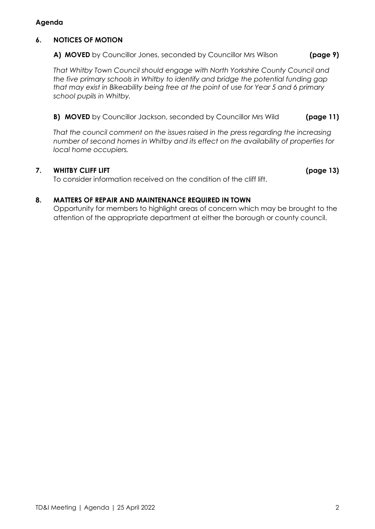#### **Agenda**

#### **6. NOTICES OF MOTION**

#### **A) MOVED** by Councillor Jones, seconded by Councillor Mrs Wilson **(page 9)**

*That Whitby Town Council should engage with North Yorkshire County Council and the five primary schools in Whitby to identify and bridge the potential funding gap that may exist in Bikeability being free at the point of use for Year 5 and 6 primary school pupils in Whitby.*

#### **B) MOVED** by Councillor Jackson, seconded by Councillor Mrs Wild **(page 11)**

*That the council comment on the issues raised in the press regarding the increasing number of second homes in Whitby and its effect on the availability of properties for local home occupiers.*

#### **7. WHITBY CLIFF LIFT (page 13)**

**8. MATTERS OF REPAIR AND MAINTENANCE REQUIRED IN TOWN**

To consider information received on the condition of the cliff lift.

Opportunity for members to highlight areas of concern which may be brought to the attention of the appropriate department at either the borough or county council.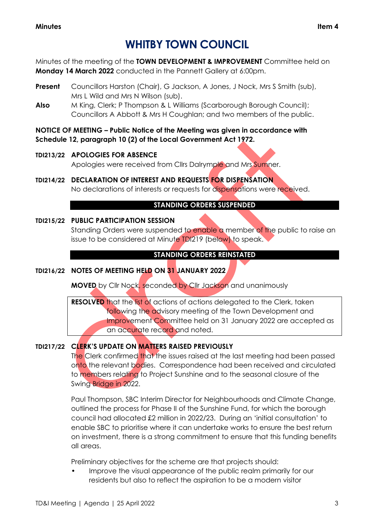#### **Minutes Item 4**

# **WHITBY TOWN COUNCIL**

Minutes of the meeting of the **TOWN DEVELOPMENT & IMPROVEMENT** Committee held on **Monday 14 March 2022** conducted in the Pannett Gallery at 6:00pm.

- **Present** Councillors Harston (Chair), G Jackson, A Jones, J Nock, Mrs S Smith (sub), Mrs L Wild and Mrs N Wilson (sub).
- **Also** M King, Clerk; P Thompson & L Williams (Scarborough Borough Council); Councillors A Abbott & Mrs H Coughlan; and two members of the public.

#### **NOTICE OF MEETING – Public Notice of the Meeting was given in accordance with Schedule 12, paragraph 10 (2) of the Local Government Act 1972.**

- **TDI213/22 APOLOGIES FOR ABSENCE** Apologies were received from Cllrs Dalrymple and Mrs Sumner.
- **TDI214/22 DECLARATION OF INTEREST AND REQUESTS FOR DISPENSATION** No declarations of interests or requests for dispensations were received.

# **STANDING ORDERS SUSPENDED**

**TDI215/22 PUBLIC PARTICIPATION SESSION** Standing Orders were suspended to enable a member of the public to raise an issue to be considered at Minute TDI219 (below) to speak.

# **STANDING ORDERS REINSTATED**

# **TDI216/22 NOTES OF MEETING HELD ON 31 JANUARY 2022**

**MOVED** by Cllr Nock, seconded by Cllr Jackson and unanimously

**RESOLVED** that the list of actions of actions delegated to the Clerk, taken following the advisory meeting of the Town Development and Improvement Committee held on 31 January 2022 are accepted as an accurate record and noted.

# **TDI217/22 CLERK'S UPDATE ON MATTERS RAISED PREVIOUSLY**

The Clerk confirmed that the issues raised at the last meeting had been passed onto the relevant bodies. Correspondence had been received and circulated to members relating to Project Sunshine and to the seasonal closure of the Swing Bridge in 2022.

Paul Thompson, SBC Interim Director for Neighbourhoods and Climate Change, outlined the process for Phase II of the Sunshine Fund, for which the borough council had allocated £2 million in 2022/23. During an 'initial consultation' to enable SBC to prioritise where it can undertake works to ensure the best return on investment, there is a strong commitment to ensure that this funding benefits all areas.

Preliminary objectives for the scheme are that projects should:

Improve the visual appearance of the public realm primarily for our residents but also to reflect the aspiration to be a modern visitor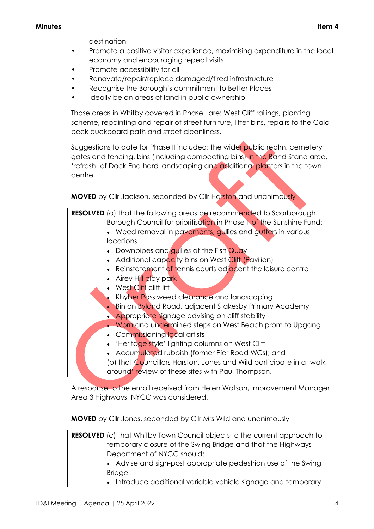destination

- Promote a positive visitor experience, maximising expenditure in the local economy and encouraging repeat visits
- Promote accessibility for all
- Renovate/repair/replace damaged/tired infrastructure
- Recognise the Borough's commitment to Better Places
- Ideally be on areas of land in public ownership

Those areas in Whitby covered in Phase I are: West Cliff railings, planting scheme, repainting and repair of street furniture, litter bins, repairs to the Cala beck duckboard path and street cleanliness.

Suggestions to date for Phase II included: the wider public realm, cemetery gates and fencing, bins (including compacting bins) in the Band Stand area, 'refresh' of Dock End hard landscaping and additional planters in the town centre.

**MOVED** by Cllr Jackson, seconded by Cllr Harston and unanimously

**RESOLVED** (a) that the following areas be recommended to Scarborough Borough Council for prioritisation in Phase II of the Sunshine Fund: • Weed removal in pavements, gullies and gutters in various locations • Downpipes and gullies at the Fish Quay • Additional capacity bins on West Cliff (Pavilion) • Reinstatement of tennis courts adjacent the leisure centre • Airey Hill play park  $\bullet$  West Cliff cliff-lift • Khyber Pass weed clearance and landscaping • Bin on Byland Road, adiacent Stakesby Primary Academy ● Appropriate signage advising on cliff stability • Worn and undermined steps on West Beach prom to Upgang • Commissioning local artists • 'Heritage style' lighting columns on West Cliff • Accumulated rubbish (former Pier Road WCs); and (b) that Councillors Harston, Jones and Wild participate in a 'walkaround' review of these sites with Paul Thompson.

A response to the email received from Helen Watson, Improvement Manager Area 3 Highways, NYCC was considered.

**MOVED** by Cllr Jones, seconded by Cllr Mrs Wild and unanimously

**RESOLVED** (c) that Whitby Town Council objects to the current approach to temporary closure of the Swing Bridge and that the Highways Department of NYCC should:

- Advise and sign-post appropriate pedestrian use of the Swing **Bridge**
- Introduce additional variable vehicle signage and temporary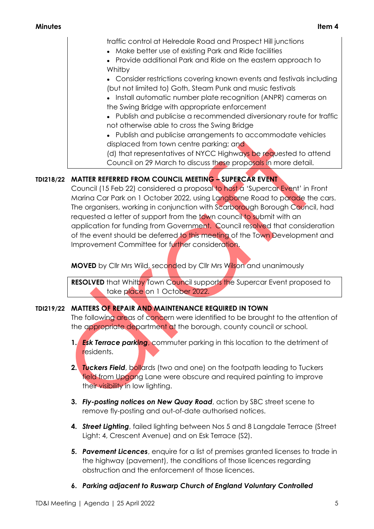**Minutes Item 4**

traffic control at Helredale Road and Prospect Hill junctions

- Make better use of existing Park and Ride facilities
- Provide additional Park and Ride on the eastern approach to **Whitby**
- Consider restrictions covering known events and festivals including (but not limited to) Goth, Steam Punk and music festivals
- Install automatic number plate recognition (ANPR) cameras on the Swing Bridge with appropriate enforcement
- Publish and publicise a recommended diversionary route for traffic not otherwise able to cross the Swing Bridge
- Publish and publicise arrangements to accommodate vehicles displaced from town centre parking; and

(d) that representatives of NYCC Highways be requested to attend Council on 29 March to discuss these proposals in more detail.

# **TDI218/22 MATTER REFERRED FROM COUNCIL MEETING – SUPERCAR EVENT**

Council (15 Feb 22) considered a proposal to host a 'Supercar Event' in Front Marina Car Park on 1 October 2022, using Langborne Road to parade the cars. The organisers, working in conjunction with Scarborough Borough Council, had requested a letter of support from the town council to submit with an application for funding from Government. Council resolved that consideration of the event should be deferred to this meeting of the Town Development and Improvement Committee for further consideration.

**MOVED** by Cllr Mrs Wild, seconded by Cllr Mrs Wilson and unanimously

**RESOLVED** that Whitby Town Council supports the Supercar Event proposed to take place on 1 October 2022.

# **TDI219/22 MATTERS OF REPAIR AND MAINTENANCE REQUIRED IN TOWN**

The following areas of concern were identified to be brought to the attention of the appropriate department at the borough, county council or school.

- **1.** *Esk Terrace parking*, commuter parking in this location to the detriment of residents.
- **2.** *Tuckers Field*, bollards (two and one) on the footpath leading to Tuckers field from Upgang Lane were obscure and required painting to improve their visibility in low lighting.
- **3.** *Fly-posting notices on New Quay Road*, action by SBC street scene to remove fly-posting and out-of-date authorised notices.
- **4.** *Street Lighting*, failed lighting between Nos 5 and 8 Langdale Terrace (Street Light: 4, Crescent Avenue) and on Esk Terrace (S2).
- **5.** *Pavement Licences*, enquire for a list of premises granted licenses to trade in the highway (pavement), the conditions of those licences regarding obstruction and the enforcement of those licences.
- **6.** *Parking adjacent to Ruswarp Church of England Voluntary Controlled*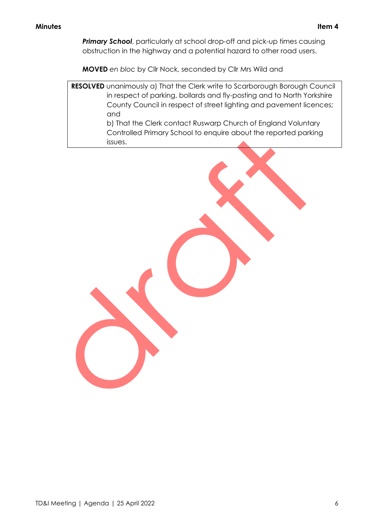**Primary School**, particularly at school drop-off and pick-up times causing obstruction in the highway and a potential hazard to other road users.

**MOVED** *en bloc* by Cllr Nock, seconded by Cllr Mrs Wild and

|         | <b>RESOLVED</b> unanimously a) That the Clerk write to Scarborough Borough Council |
|---------|------------------------------------------------------------------------------------|
|         | in respect of parking, bollards and fly-posting and to North Yorkshire             |
|         | County Council in respect of street lighting and pavement licences;                |
| and     |                                                                                    |
|         | b) That the Clerk contact Ruswarp Church of England Voluntary                      |
|         | Controlled Primary School to enquire about the reported parking                    |
| issues. |                                                                                    |

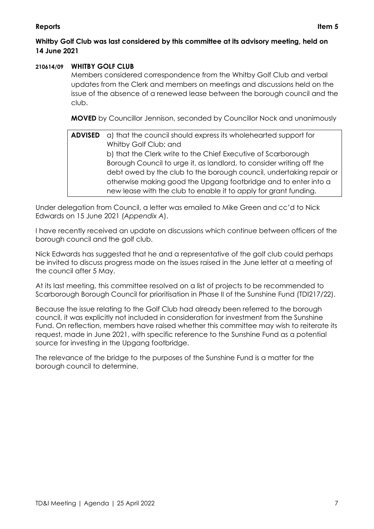# **Whitby Golf Club was last considered by this committee at its advisory meeting, held on 14 June 2021**

# **210614/09 WHITBY GOLF CLUB**

Members considered correspondence from the Whitby Golf Club and verbal updates from the Clerk and members on meetings and discussions held on the issue of the absence of a renewed lease between the borough council and the club.

**MOVED** by Councillor Jennison, seconded by Councillor Nock and unanimously

| <b>ADVISED</b> | a) that the council should express its wholehearted support for      |  |
|----------------|----------------------------------------------------------------------|--|
|                | Whitby Golf Club; and                                                |  |
|                | b) that the Clerk write to the Chief Executive of Scarborough        |  |
|                | Borough Council to urge it, as landlord, to consider writing off the |  |
|                | debt owed by the club to the borough council, undertaking repair or  |  |
|                | otherwise making good the Upgang footbridge and to enter into a      |  |
|                | new lease with the club to enable it to apply for grant funding.     |  |

Under delegation from Council, a letter was emailed to Mike Green and cc'd to Nick Edwards on 15 June 2021 (*Appendix A*).

I have recently received an update on discussions which continue between officers of the borough council and the golf club.

Nick Edwards has suggested that he and a representative of the golf club could perhaps be invited to discuss progress made on the issues raised in the June letter at a meeting of the council after 5 May.

At its last meeting, this committee resolved on a list of projects to be recommended to Scarborough Borough Council for prioritisation in Phase II of the Sunshine Fund (TDI217/22).

Because the issue relating to the Golf Club had already been referred to the borough council, it was explicitly not included in consideration for investment from the Sunshine Fund. On reflection, members have raised whether this committee may wish to reiterate its request, made in June 2021, with specific reference to the Sunshine Fund as a potential source for investing in the Upgang footbridge.

The relevance of the bridge to the purposes of the Sunshine Fund is a matter for the borough council to determine.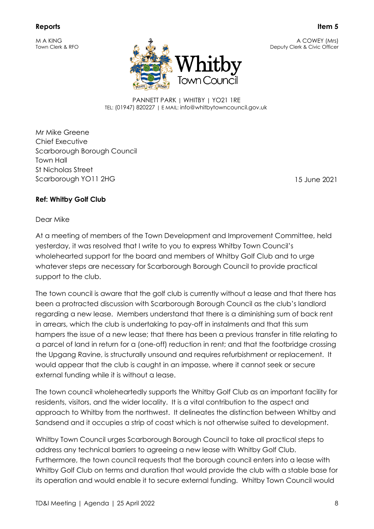M A KING Town Clerk & RFO iown Council

A COWEY (Mrs) Deputy Clerk & Civic Officer

PANNETT PARK | WHITBY | YO21 1RE TEL: (01947) 820227 | E MAIL: info@whitbytowncouncil.gov.uk

Mr Mike Greene Chief Executive Scarborough Borough Council Town Hall St Nicholas Street Scarborough YO11 2HG 15 June 2021

# **Ref: Whitby Golf Club**

#### Dear Mike

At a meeting of members of the Town Development and Improvement Committee, held yesterday, it was resolved that I write to you to express Whitby Town Council's wholehearted support for the board and members of Whitby Golf Club and to urge whatever steps are necessary for Scarborough Borough Council to provide practical support to the club.

The town council is aware that the golf club is currently without a lease and that there has been a protracted discussion with Scarborough Borough Council as the club's landlord regarding a new lease. Members understand that there is a diminishing sum of back rent in arrears, which the club is undertaking to pay-off in instalments and that this sum hampers the issue of a new lease; that there has been a previous transfer in title relating to a parcel of land in return for a (one-off) reduction in rent; and that the footbridge crossing the Upgang Ravine, is structurally unsound and requires refurbishment or replacement. It would appear that the club is caught in an impasse, where it cannot seek or secure external funding while it is without a lease.

The town council wholeheartedly supports the Whitby Golf Club as an important facility for residents, visitors, and the wider locality. It is a vital contribution to the aspect and approach to Whitby from the northwest. It delineates the distinction between Whitby and Sandsend and it occupies a strip of coast which is not otherwise suited to development.

Whitby Town Council urges Scarborough Borough Council to take all practical steps to address any technical barriers to agreeing a new lease with Whitby Golf Club. Furthermore, the town council requests that the borough council enters into a lease with Whitby Golf Club on terms and duration that would provide the club with a stable base for its operation and would enable it to secure external funding. Whitby Town Council would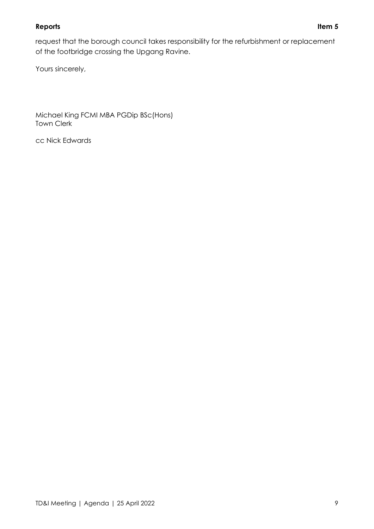#### **Reports Item 5**

request that the borough council takes responsibility for the refurbishment or replacement of the footbridge crossing the Upgang Ravine.

Yours sincerely,

Michael King FCMI MBA PGDip BSc(Hons) Town Clerk

cc Nick Edwards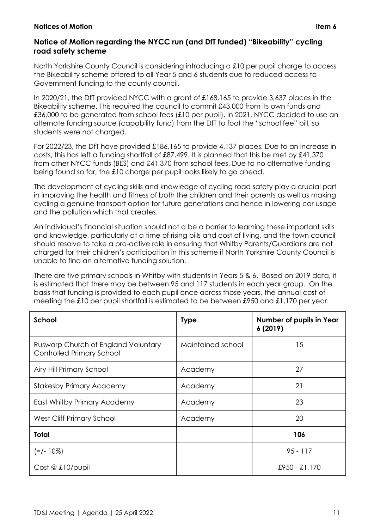North Yorkshire County Council is considering introducing a £10 per pupil charge to access the Bikeability scheme offered to all Year 5 and 6 students due to reduced access to Government funding to the county council.

In 2020/21, the DfT provided NYCC with a grant of £168,165 to provide 3,637 places in the Bikeability scheme. This required the council to commit £43,000 from its own funds and £36,000 to be generated from school fees (£10 per pupil). In 2021, NYCC decided to use an alternate funding source (capability fund) from the DfT to foot the "school fee" bill, so students were not charged.

For 2022/23, the DfT have provided £186,165 to provide 4,137 places. Due to an increase in costs, this has left a funding shortfall of £87,499. It is planned that this be met by £41,370 from other NYCC funds (BES) and £41,370 from school fees. Due to no alternative funding being found so far, the £10 charge per pupil looks likely to go ahead.

The development of cycling skills and knowledge of cycling road safety play a crucial part in improving the health and fitness of both the children and their parents as well as making cycling a genuine transport option for future generations and hence in lowering car usage and the pollution which that creates.

An individual's financial situation should not a be a barrier to learning these important skills and knowledge, particularly at a time of rising bills and cost of living, and the town council should resolve to take a pro-active role in ensuring that Whitby Parents/Guardians are not charged for their children's participation in this scheme if North Yorkshire County Council is unable to find an alternative funding solution.

There are five primary schools in Whitby with students in Years 5 & 6. Based on 2019 data, it is estimated that there may be between 95 and 117 students in each year group. On the basis that funding is provided to each pupil once across those years, the annual cost of meeting the £10 per pupil shortfall is estimated to be between £950 and £1,170 per year.

| School                                                                  | <b>Type</b>       | Number of pupils in Year<br>6(2019) |
|-------------------------------------------------------------------------|-------------------|-------------------------------------|
| Ruswarp Church of England Voluntary<br><b>Controlled Primary School</b> | Maintained school | 15                                  |
| Airy Hill Primary School                                                | Academy           | 27                                  |
| <b>Stakesby Primary Academy</b>                                         | Academy           | 21                                  |
| East Whitby Primary Academy                                             | Academy           | 23                                  |
| West Cliff Primary School                                               | Academy           | 20                                  |
| <b>Total</b>                                                            |                   | 106                                 |
| $(=/- 10\%)$                                                            |                   | $95 - 117$                          |
| $Cost @$ £10/pupil                                                      |                   | $£950 - £1,170$                     |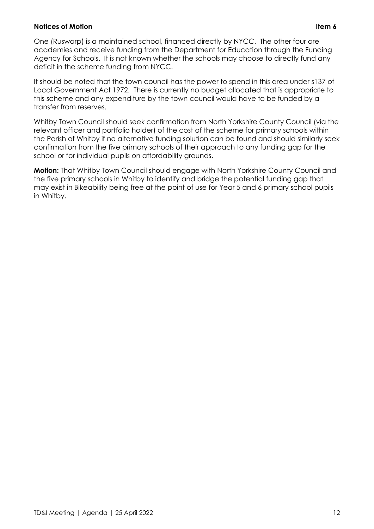#### **Notices of Motion Item 6**

One (Ruswarp) is a maintained school, financed directly by NYCC. The other four are academies and receive funding from the Department for Education through the Funding Agency for Schools. It is not known whether the schools may choose to directly fund any deficit in the scheme funding from NYCC.

It should be noted that the town council has the power to spend in this area under s137 of Local Government Act 1972. There is currently no budget allocated that is appropriate to this scheme and any expenditure by the town council would have to be funded by a transfer from reserves.

Whitby Town Council should seek confirmation from North Yorkshire County Council (via the relevant officer and portfolio holder) of the cost of the scheme for primary schools within the Parish of Whitby if no alternative funding solution can be found and should similarly seek confirmation from the five primary schools of their approach to any funding gap for the school or for individual pupils on affordability grounds.

**Motion:** That Whitby Town Council should engage with North Yorkshire County Council and the five primary schools in Whitby to identify and bridge the potential funding gap that may exist in Bikeability being free at the point of use for Year 5 and 6 primary school pupils in Whitby.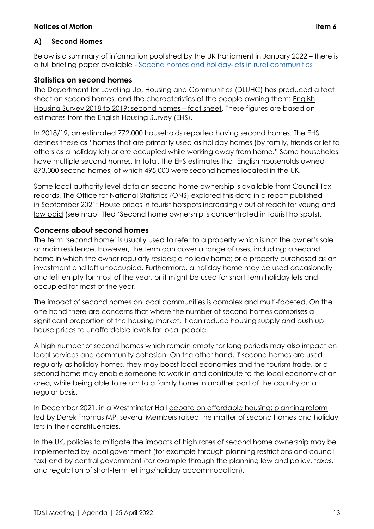#### **Notices of Motion Item 6**

# **A) Second Homes**

Below is a summary of information published by the UK Parliament in January 2022 – there is a full briefing paper available - [Second homes and holiday-lets in rural communities](https://researchbriefings.files.parliament.uk/documents/CDP-2022-0001/CDP-2022-0001.pdf)

# **Statistics on second homes**

The Department for Levelling Up, Housing and Communities (DLUHC) has produced a fact sheet on second homes, and the characteristics of the people owning them: [English](https://www.gov.uk/government/statistics/english-housing-survey-2018-to-2019-second-homes-fact-sheet) [Housing](https://www.gov.uk/government/statistics/english-housing-survey-2018-to-2019-second-homes-fact-sheet) Survey 2018 to 2019: second homes – fact sheet. These figures are based on estimates from the English Housing Survey (EHS).

In 2018/19, an estimated 772,000 households reported having second homes. The EHS defines these as "homes that are primarily used as holiday homes (by family, friends or let to others as a holiday let) or are occupied while working away from home." Some households have multiple second homes. In total, the EHS estimates that English households owned 873,000 second homes, of which 495,000 were second homes located in the UK.

Some local-authority level data on second home ownership is available from Council Tax records. The Office for National Statistics (ONS) explored this data in a report published in September 2021: House prices in tourist hotspots [increasingly](https://www.ons.gov.uk/economy/inflationandpriceindices/articles/housepricesintouristhotspotsincreasinglyoutofreachforyoungandlowpaid/2021-09-28) out of reach for young and low [paid](https://www.ons.gov.uk/economy/inflationandpriceindices/articles/housepricesintouristhotspotsincreasinglyoutofreachforyoungandlowpaid/2021-09-28) (see map titled 'Second home ownership is concentrated in tourist hotspots).

# **Concerns about second homes**

The term 'second home' is usually used to refer to a property which is not the owner's sole or main residence. However, the term can cover a range of uses, including: a second home in which the owner regularly resides; a holiday home; or a property purchased as an investment and left unoccupied. Furthermore, a holiday home may be used occasionally and left empty for most of the year, or it might be used for short-term holiday lets and occupied for most of the year.

The impact of second homes on local communities is complex and multi-faceted. On the one hand there are concerns that where the number of second homes comprises a significant proportion of the housing market, it can reduce housing supply and push up house prices to unaffordable levels for local people.

A high number of second homes which remain empty for long periods may also impact on local services and community cohesion. On the other hand, if second homes are used regularly as holiday homes, they may boost local economies and the tourism trade, or a second home may enable someone to work in and contribute to the local economy of an area, while being able to return to a family home in another part of the country on a regular basis.

In December 2021, in a Westminster Hall debate on [affordable](https://hansard.parliament.uk/HoC%20Debate/2021-12-07/debates/A46F2F44-AEB3-4EEF-B02E-0C12361E5C8A/web/) housing: planning reform led by Derek Thomas MP, several Members raised the matter of second homes and holiday lets in their constituencies.

In the UK, policies to mitigate the impacts of high rates of second home ownership may be implemented by local government (for example through planning restrictions and council tax) and by central government (for example through the planning law and policy, taxes, and regulation of short-term lettings/holiday accommodation).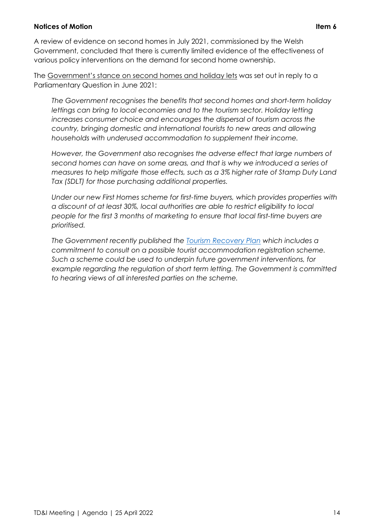#### **Notices of Motion Item 6**

A review of evidence on second homes in July 2021, commissioned by the Welsh Government, concluded that there is currently limited evidence of the effectiveness of various policy interventions on the demand for second home ownership.

The [Government's](https://questions-statements.parliament.uk/written-questions/detail/2021-06-22/20450) stance on second homes and holiday lets was set out in reply to a Parliamentary Question in June 2021:

*The Government recognises the benefits that second homes and short-term holiday lettings can bring to local economies and to the tourism sector. Holiday letting increases consumer choice and encourages the dispersal of tourism across the country, bringing domestic and international tourists to new areas and allowing households with underused accommodation to supplement their income.*

*However, the Government also recognises the adverse effect that large numbers of second homes can have on some areas, and that is why we introduced a series of measures to help mitigate those effects, such as a 3% higher rate of Stamp Duty Land Tax (SDLT) for those purchasing additional properties.*

*Under our new First Homes scheme for first-time buyers, which provides properties with a discount of at least 30%, local authorities are able to restrict eligibility to local people for the first 3 months of marketing to ensure that local first-time buyers are prioritised.*

*The Government recently published the [Tourism Recovery Plan](https://assets.publishing.service.gov.uk/government/uploads/system/uploads/attachment_data/file/992974/Tourism_Recovery_Plan__Web_Accessible_.pdf) which includes a commitment to consult on a possible tourist accommodation registration scheme. Such a scheme could be used to underpin future government interventions, for example regarding the regulation of short term letting. The Government is committed to hearing views of all interested parties on the scheme.*